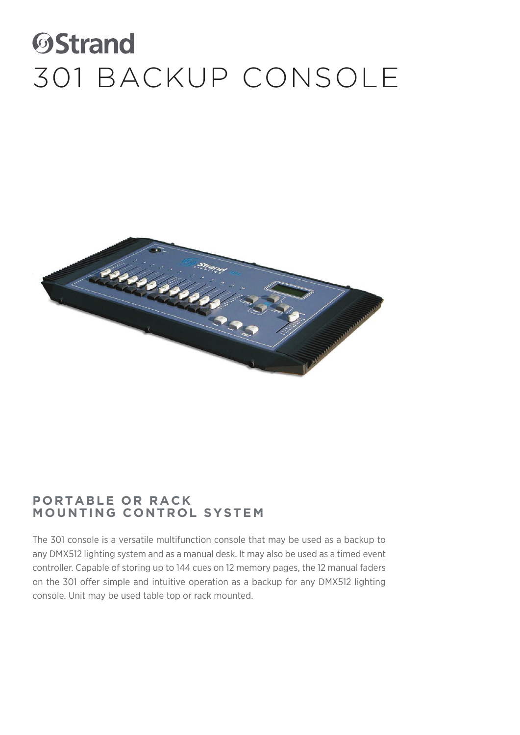### **OStrand** 301 BACKUP CONSOLE



#### **PORTABLE OR RACK MOUNTING CONTROL SYSTEM**

The 301 console is a versatile multifunction console that may be used as a backup to any DMX512 lighting system and as a manual desk. It may also be used as a timed event controller. Capable of storing up to 144 cues on 12 memory pages, the 12 manual faders on the 301 offer simple and intuitive operation as a backup for any DMX512 lighting console. Unit may be used table top or rack mounted.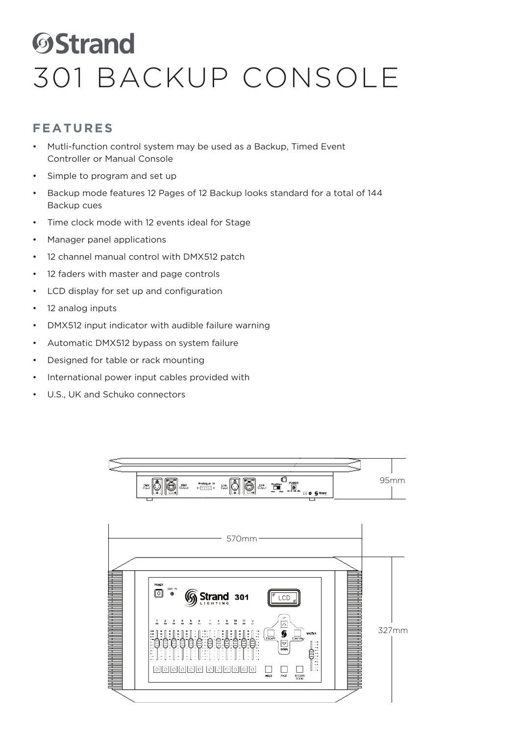# **ØStrand** 301 BACKUP CONSOLE

#### **FEATURES**

- Mutli-function control system may be used as a Backup, Timed Event Controller or Manual Console
- Simple to program and set up
- Backup mode features 12 Pages of 12 Backup looks standard for a total of 144 Backup cues
- Time clock mode with 12 events ideal for Stage
- Manager panel applications
- 12 channel manual control with DMX512 patch
- 12 faders with master and page controls
- LCD display for set up and configuration
- 12 analog inputs
- DMX512 input indicator with audible failure warning
- Automatic DMX512 bypass on system failure
- Designed for table or rack mounting
- International power input cables provided with
- U.S., UK and Schuko connectors